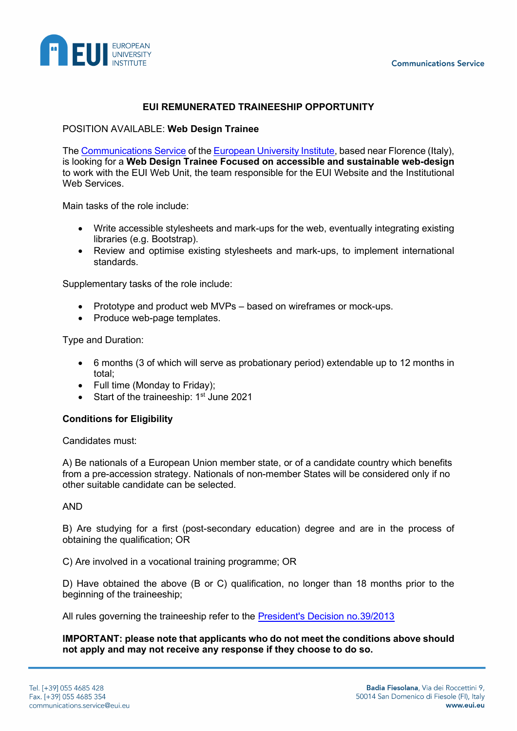

# **EUI REMUNERATED TRAINEESHIP OPPORTUNITY**

#### POSITION AVAILABLE: **Web Design Trainee**

The [Communications Service](https://www.eui.eu/en/services/communications-service/about-the-eui-communications-service) of the [European University Institute,](https://www.eui.eu/en/home) based near Florence (Italy), is looking for a **Web Design Trainee Focused on accessible and sustainable web-design**  to work with the EUI Web Unit, the team responsible for the EUI Website and the Institutional Web Services

Main tasks of the role include:

- Write accessible stylesheets and mark-ups for the web, eventually integrating existing libraries (e.g. Bootstrap).
- Review and optimise existing stylesheets and mark-ups, to implement international standards.

Supplementary tasks of the role include:

- Prototype and product web MVPs based on wireframes or mock-ups.
- Produce web-page templates.

Type and Duration:

- 6 months (3 of which will serve as probationary period) extendable up to 12 months in total;
- Full time (Monday to Friday);
- Start of the traineeship: 1<sup>st</sup> June 2021

#### **Conditions for Eligibility**

Candidates must:

A) Be nationals of a European Union member state, or of a candidate country which benefits from a pre-accession strategy. Nationals of non-member States will be considered only if no other suitable candidate can be selected.

AND

B) Are studying for a first (post-secondary education) degree and are in the process of obtaining the qualification; OR

C) Are involved in a vocational training programme; OR

D) Have obtained the above (B or C) qualification, no longer than 18 months prior to the beginning of the traineeship;

All rules governing the traineeship refer to the [President's Decision no.39/2013](https://www.eui.eu/Documents/AboutEUI/JobOpportunities/Presidents-Decision-392013.pdf)

**IMPORTANT: please note that applicants who do not meet the conditions above should not apply and may not receive any response if they choose to do so.**